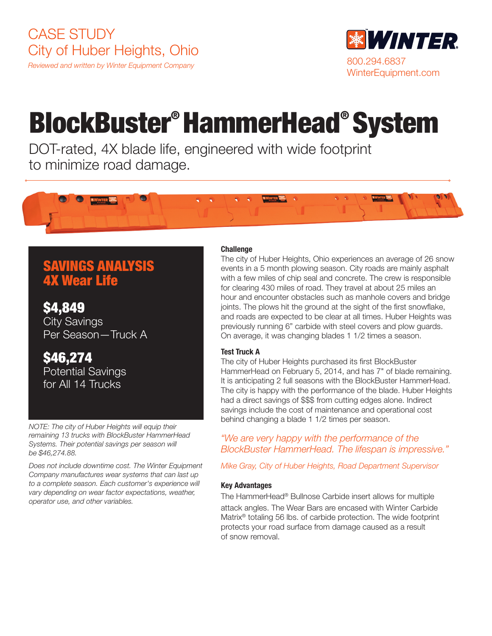# CASE STUDY City of Huber Heights, Ohio

*Reviewed and written by Winter Equipment Company* 800.294.6837



# BlockBuster® HammerHead® System

DOT-rated, 4X blade life, engineered with wide footprint to minimize road damage.



# SAVINGS ANALYSIS 4X Wear Life

\$4,849 City Savings Per Season—Truck A

\$46,274 Potential Savings for All 14 Trucks

*NOTE: The city of Huber Heights will equip their remaining 13 trucks with BlockBuster HammerHead Systems. Their potential savings per season will be \$46,274.88.*

*Does not include downtime cost. The Winter Equipment Company manufactures wear systems that can last up to a complete season. Each customer's experience will vary depending on wear factor expectations, weather, operator use, and other variables.* 

### **Challenge**

The city of Huber Heights, Ohio experiences an average of 26 snow events in a 5 month plowing season. City roads are mainly asphalt with a few miles of chip seal and concrete. The crew is responsible for clearing 430 miles of road. They travel at about 25 miles an hour and encounter obstacles such as manhole covers and bridge joints. The plows hit the ground at the sight of the first snowflake, and roads are expected to be clear at all times. Huber Heights was previously running 6" carbide with steel covers and plow guards. On average, it was changing blades 1 1/2 times a season.

#### Test Truck A

The city of Huber Heights purchased its first BlockBuster HammerHead on February 5, 2014, and has 7" of blade remaining. It is anticipating 2 full seasons with the BlockBuster HammerHead. The city is happy with the performance of the blade. Huber Heights had a direct savings of \$\$\$ from cutting edges alone. Indirect savings include the cost of maintenance and operational cost behind changing a blade 1 1/2 times per season.

*"We are very happy with the performance of the BlockBuster HammerHead. The lifespan is impressive."*

*Mike Gray, City of Huber Heights, Road Department Supervisor*

#### Key Advantages

The HammerHead® Bullnose Carbide insert allows for multiple attack angles. The Wear Bars are encased with Winter Carbide Matrix® totaling 56 lbs. of carbide protection. The wide footprint protects your road surface from damage caused as a result of snow removal.